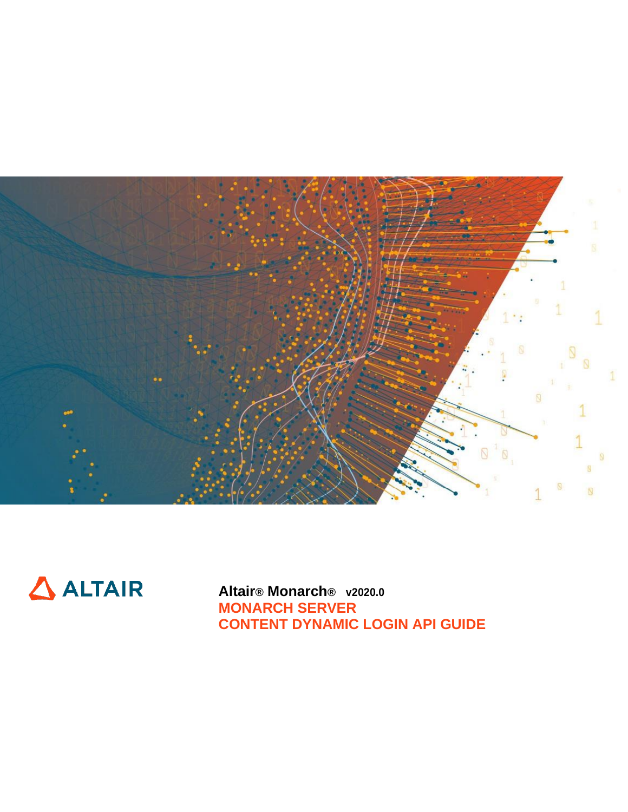



**Altair® Monarch® v2020.0 MONARCH SERVER CONTENT DYNAMIC LOGIN API GUIDE**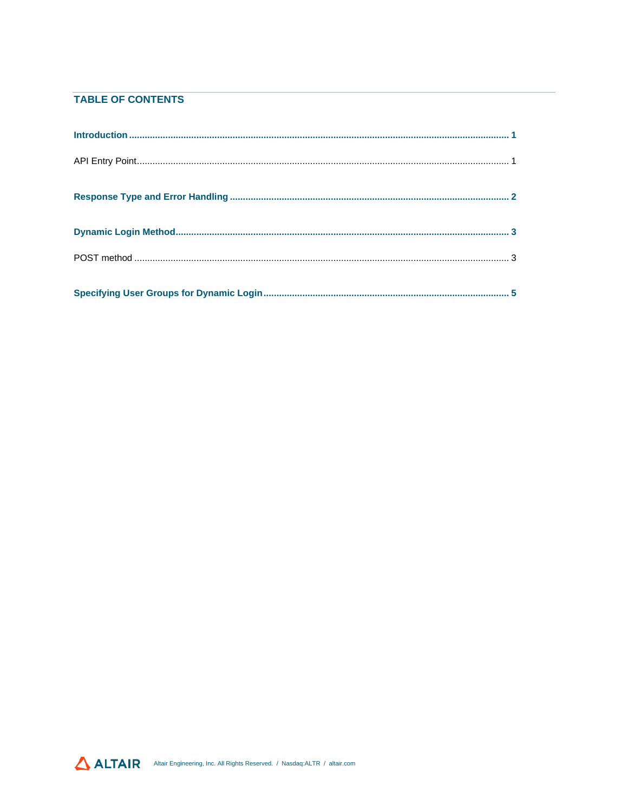#### **TABLE OF CONTENTS**

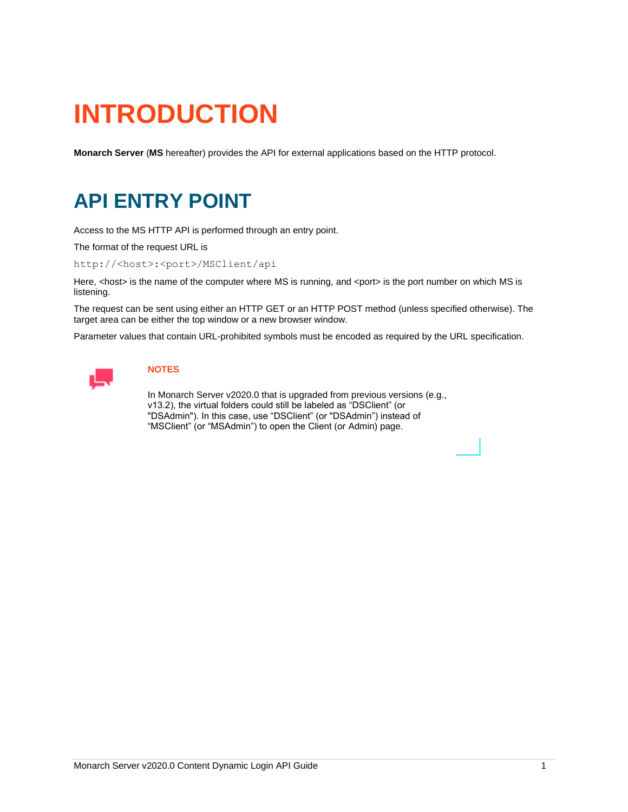# <span id="page-2-0"></span>**INTRODUCTION**

<span id="page-2-1"></span>**Monarch Server** (**MS** hereafter) provides the API for external applications based on the HTTP protocol.

### **API ENTRY POINT**

Access to the MS HTTP API is performed through an entry point.

The format of the request URL is

http://<host>:<port>/MSClient/api

Here, <host> is the name of the computer where MS is running, and <port> is the port number on which MS is listening.

The request can be sent using either an HTTP GET or an HTTP POST method (unless specified otherwise). The target area can be either the top window or a new browser window.

Parameter values that contain URL-prohibited symbols must be encoded as required by the URL specification.



#### **NOTES**

In Monarch Server v2020.0 that is upgraded from previous versions (e.g., v13.2), the virtual folders could still be labeled as "DSClient" (or "DSAdmin"). In this case, use "DSClient" (or "DSAdmin") instead of "MSClient" (or "MSAdmin") to open the Client (or Admin) page.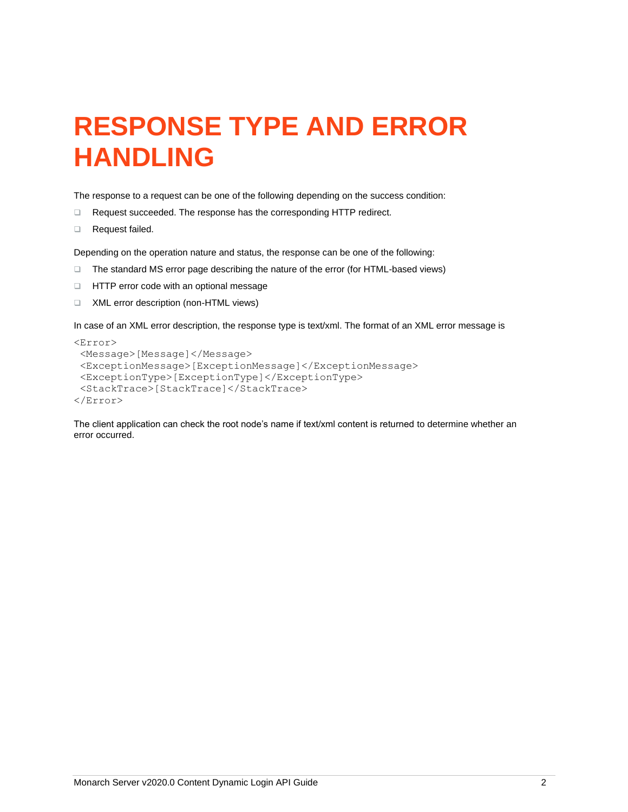## <span id="page-3-0"></span>**RESPONSE TYPE AND ERROR HANDLING**

The response to a request can be one of the following depending on the success condition:

- ❑ Request succeeded. The response has the corresponding HTTP redirect.
- ❑ Request failed.

Depending on the operation nature and status, the response can be one of the following:

- ❑ The standard MS error page describing the nature of the error (for HTML-based views)
- ❑ HTTP error code with an optional message
- ❑ XML error description (non-HTML views)

In case of an XML error description, the response type is text/xml. The format of an XML error message is

```
<Error>
<Message>[Message]</Message>
 <ExceptionMessage>[ExceptionMessage]</ExceptionMessage>
 <ExceptionType>[ExceptionType]</ExceptionType>
<StackTrace>[StackTrace]</StackTrace>
</Error>
```
The client application can check the root node's name if text/xml content is returned to determine whether an error occurred.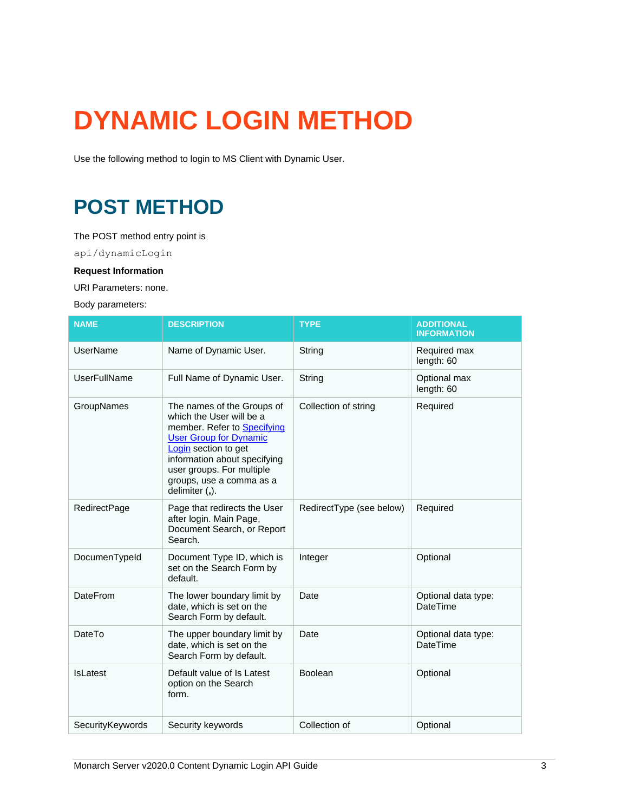# <span id="page-4-0"></span>**DYNAMIC LOGIN METHOD**

<span id="page-4-1"></span>Use the following method to login to MS Client with Dynamic User.

### **POST METHOD**

The POST method entry point is

api/dynamicLogin

#### **Request Information**

URI Parameters: none.

Body parameters:

| <b>NAME</b>      | <b>DESCRIPTION</b>                                                                                                                                                                                                                                        | <b>TYPE</b>              | <b>ADDITIONAL</b><br><b>INFORMATION</b> |
|------------------|-----------------------------------------------------------------------------------------------------------------------------------------------------------------------------------------------------------------------------------------------------------|--------------------------|-----------------------------------------|
| UserName         | Name of Dynamic User.                                                                                                                                                                                                                                     | String                   | Required max<br>length: 60              |
| UserFullName     | Full Name of Dynamic User.                                                                                                                                                                                                                                | String                   | Optional max<br>length: 60              |
| GroupNames       | The names of the Groups of<br>which the User will be a<br>member. Refer to Specifying<br><b>User Group for Dynamic</b><br>Login section to get<br>information about specifying<br>user groups. For multiple<br>groups, use a comma as a<br>delimiter (,). | Collection of string     | Required                                |
| RedirectPage     | Page that redirects the User<br>after login. Main Page,<br>Document Search, or Report<br>Search.                                                                                                                                                          | RedirectType (see below) | Required                                |
| DocumenTypeId    | Document Type ID, which is<br>set on the Search Form by<br>default.                                                                                                                                                                                       | Integer                  | Optional                                |
| <b>DateFrom</b>  | The lower boundary limit by<br>date, which is set on the<br>Search Form by default.                                                                                                                                                                       | Date                     | Optional data type:<br><b>DateTime</b>  |
| DateTo           | The upper boundary limit by<br>date, which is set on the<br>Search Form by default.                                                                                                                                                                       | Date                     | Optional data type:<br><b>DateTime</b>  |
| <b>IsLatest</b>  | Default value of Is Latest<br>option on the Search<br>form.                                                                                                                                                                                               | Boolean                  | Optional                                |
| SecurityKeywords | Security keywords                                                                                                                                                                                                                                         | Collection of            | Optional                                |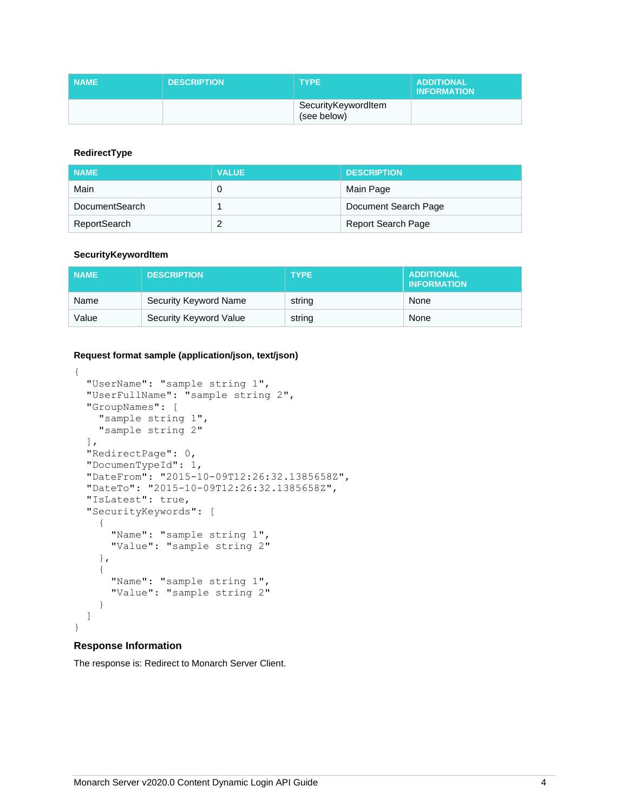| <b>NAME</b> | <b>DESCRIPTION</b> | <b>TYPE</b>                        | <b>ADDITIONAL</b><br><b>INFORMATION</b> |
|-------------|--------------------|------------------------------------|-----------------------------------------|
|             |                    | SecurityKeywordItem<br>(see below) |                                         |

#### **RedirectType**

| <b>NAME</b>    | <b>VALUE</b> | <b>DESCRIPTION</b>        |
|----------------|--------------|---------------------------|
| Main           | 0            | Main Page                 |
| DocumentSearch |              | Document Search Page      |
| ReportSearch   | c            | <b>Report Search Page</b> |

#### **SecurityKeywordItem**

| <b>NAME</b> | <b>DESCRIPTION</b>     | <b>TYPE</b> | <b>ADDITIONAL</b><br><b>INFORMATION</b> |
|-------------|------------------------|-------------|-----------------------------------------|
| Name        | Security Keyword Name  | string      | None                                    |
| Value       | Security Keyword Value | string      | None                                    |

#### **Request format sample (application/json, text/json)**

```
{
  "UserName": "sample string 1",
  "UserFullName": "sample string 2",
  "GroupNames": [
     "sample string 1",
     "sample string 2"
 \frac{1}{\sqrt{2}} "RedirectPage": 0,
  "DocumenTypeId": 1,
  "DateFrom": "2015-10-09T12:26:32.1385658Z",
  "DateTo": "2015-10-09T12:26:32.1385658Z",
  "IsLatest": true,
  "SecurityKeywords": [
     {
       "Name": "sample string 1",
       "Value": "sample string 2"
     },
     {
       "Name": "sample string 1",
       "Value": "sample string 2"
     }
  ]
}
```
#### **Response Information**

The response is: Redirect to Monarch Server Client.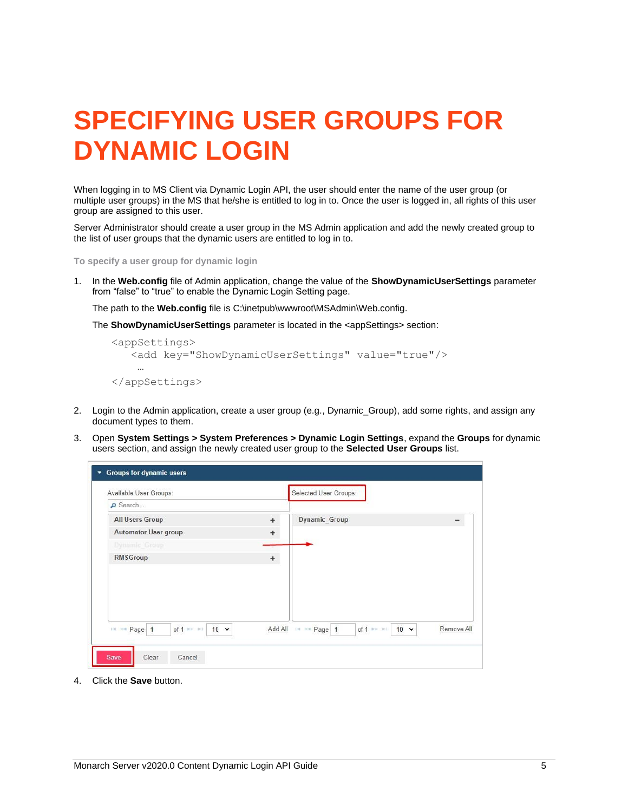# <span id="page-6-0"></span>**SPECIFYING USER GROUPS FOR DYNAMIC LOGIN**

When logging in to MS Client via Dynamic Login API, the user should enter the name of the user group (or multiple user groups) in the MS that he/she is entitled to log in to. Once the user is logged in, all rights of this user group are assigned to this user.

Server Administrator should create a user group in the MS Admin application and add the newly created group to the list of user groups that the dynamic users are entitled to log in to.

**To specify a user group for dynamic login**

1. In the **Web.config** file of Admin application, change the value of the **ShowDynamicUserSettings** parameter from "false" to "true" to enable the Dynamic Login Setting page.

The path to the **Web.config** file is C:\inetpub\wwwroot\MSAdmin\Web.config.

The **ShowDynamicUserSettings** parameter is located in the <appSettings> section:

```
<appSettings>
    <add key="ShowDynamicUserSettings" value="true"/>
 …
</appSettings>
```
- 2. Login to the Admin application, create a user group (e.g., Dynamic\_Group), add some rights, and assign any document types to them.
- 3. Open **System Settings > System Preferences > Dynamic Login Settings**, expand the **Groups** for dynamic users section, and assign the newly created user group to the **Selected User Groups** list.

| Available User Groups:                            |           | Selected User Groups:                                                      |  |
|---------------------------------------------------|-----------|----------------------------------------------------------------------------|--|
| Search                                            |           |                                                                            |  |
| <b>All Users Group</b>                            | $+$       | Dynamic_Group                                                              |  |
| Automator User group                              | $+$       |                                                                            |  |
| Dynamic Group                                     |           |                                                                            |  |
| <b>RMSGroup</b>                                   | $\ddot{}$ |                                                                            |  |
|                                                   |           |                                                                            |  |
|                                                   |           |                                                                            |  |
| of 1 $\gg$ $\gg$ 1<br>IN << Page 1<br>$10 \times$ |           | Add All H << Page 1<br>of 1 $\gg$ $\approx$ 1<br>$10 \times$<br>Remove All |  |

4. Click the **Save** button.